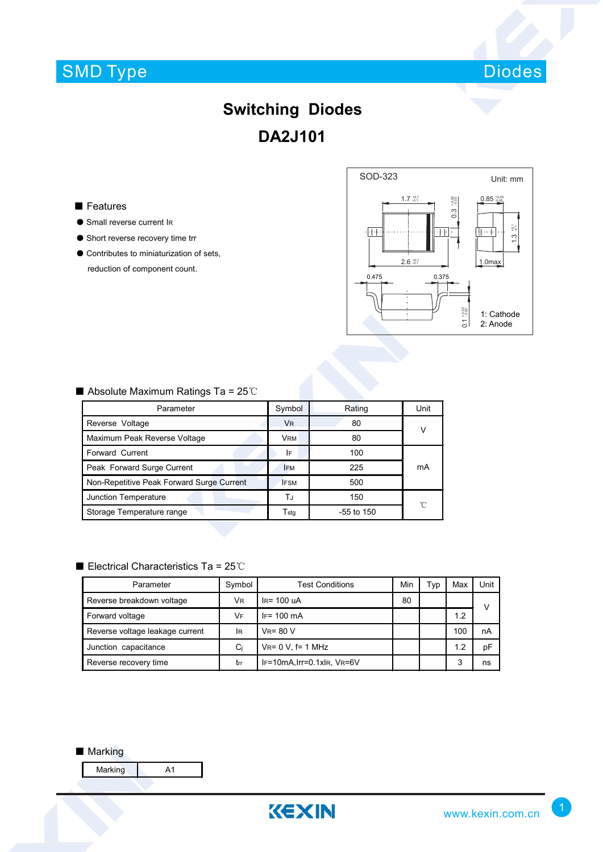## SMD Type



## **Switching Diodes DA2J101**

### ■ Features

- Small reverse current IR
- Short reverse recovery time trr
- Contributes to miniaturization of sets, reduction of component count.



## ■ Absolute Maximum Ratings Ta = 25℃

| Parameter                                 | Symbol                      | Rating       | Unit |  |
|-------------------------------------------|-----------------------------|--------------|------|--|
| Reverse Voltage                           | VR.                         | 80           |      |  |
| Maximum Peak Reverse Voltage              | <b>VRM</b>                  | 80           |      |  |
| Forward Current                           | I۴                          | 100          |      |  |
| Peak Forward Surge Current                | <b>IFM</b>                  | 225          | mA   |  |
| Non-Repetitive Peak Forward Surge Current | <b>IFSM</b>                 | 500          |      |  |
| Junction Temperature                      | T.J                         | 150          | 'n   |  |
| Storage Temperature range                 | $\mathsf{T}_{\mathsf{std}}$ | $-55$ to 150 |      |  |

### ■ Electrical Characteristics Ta = 25℃

| Parameter                       | Symbol         | <b>Test Conditions</b>    | Min | Typ | Max | Unit |
|---------------------------------|----------------|---------------------------|-----|-----|-----|------|
| Reverse breakdown voltage       | V <sub>R</sub> | $IR = 100uA$              | 80  |     |     | v    |
| Forward voltage                 | VF             | $IF = 100 \text{ mA}$     |     |     | 1.2 |      |
| Reverse voltage leakage current | <b>IR</b>      | $V_R = 80 V$              |     |     | 100 | nA   |
| Junction capacitance            | Ci             | $V_{R} = 0 V$ , f= 1 MHz  |     |     | 1.2 | рF   |
| Reverse recovery time           | trr            | IF=10mA.Irr=0.1xlR, VR=6V |     |     | 3   | ns   |

#### ■ Marking

Marking A1